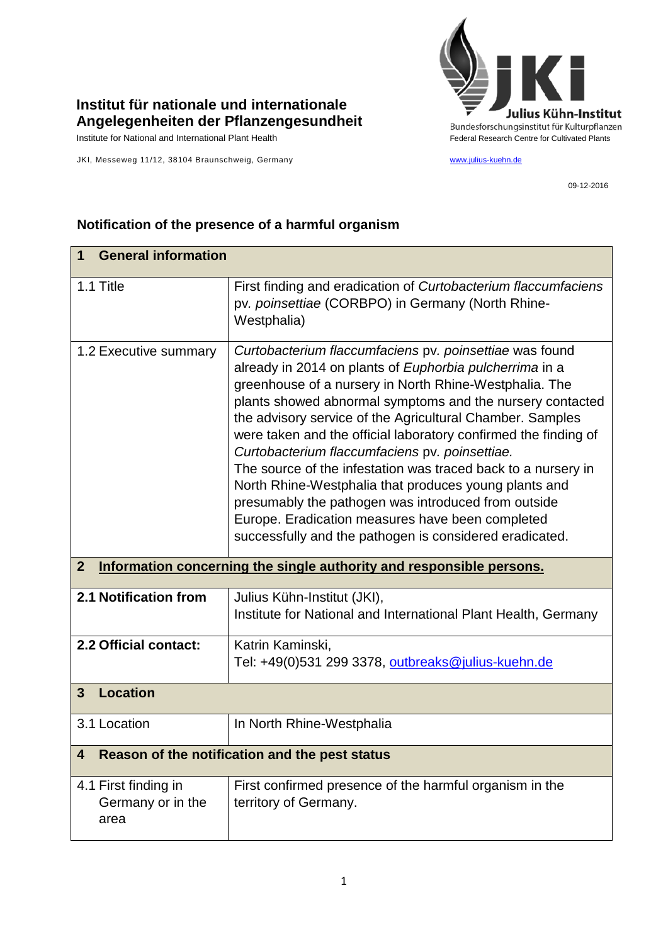

## **Institut für nationale und internationale Angelegenheiten der Pflanzengesundheit**

JKI, Messeweg 11/12, 38104 Braunschweig, Germany [www.julius-kuehn.de](http://www.julius-kuehn.de/)

09-12-2016

## **Notification of the presence of a harmful organism**

| <b>General information</b><br>1                   |                                                                                                                                                                                                                                                                                                                                                                                                                                                                                                                                                                                                                                                                                                                             |  |
|---------------------------------------------------|-----------------------------------------------------------------------------------------------------------------------------------------------------------------------------------------------------------------------------------------------------------------------------------------------------------------------------------------------------------------------------------------------------------------------------------------------------------------------------------------------------------------------------------------------------------------------------------------------------------------------------------------------------------------------------------------------------------------------------|--|
| 1.1 Title                                         | First finding and eradication of Curtobacterium flaccumfaciens<br>pv. poinsettiae (CORBPO) in Germany (North Rhine-<br>Westphalia)                                                                                                                                                                                                                                                                                                                                                                                                                                                                                                                                                                                          |  |
| 1.2 Executive summary                             | Curtobacterium flaccumfaciens pv. poinsettiae was found<br>already in 2014 on plants of Euphorbia pulcherrima in a<br>greenhouse of a nursery in North Rhine-Westphalia. The<br>plants showed abnormal symptoms and the nursery contacted<br>the advisory service of the Agricultural Chamber. Samples<br>were taken and the official laboratory confirmed the finding of<br>Curtobacterium flaccumfaciens pv. poinsettiae.<br>The source of the infestation was traced back to a nursery in<br>North Rhine-Westphalia that produces young plants and<br>presumably the pathogen was introduced from outside<br>Europe. Eradication measures have been completed<br>successfully and the pathogen is considered eradicated. |  |
| $\overline{2}$                                    | Information concerning the single authority and responsible persons.                                                                                                                                                                                                                                                                                                                                                                                                                                                                                                                                                                                                                                                        |  |
| 2.1 Notification from                             | Julius Kühn-Institut (JKI),<br>Institute for National and International Plant Health, Germany                                                                                                                                                                                                                                                                                                                                                                                                                                                                                                                                                                                                                               |  |
| 2.2 Official contact:                             | Katrin Kaminski,<br>Tel: +49(0)531 299 3378, outbreaks@julius-kuehn.de                                                                                                                                                                                                                                                                                                                                                                                                                                                                                                                                                                                                                                                      |  |
| <b>Location</b><br>3                              |                                                                                                                                                                                                                                                                                                                                                                                                                                                                                                                                                                                                                                                                                                                             |  |
| 3.1 Location                                      | In North Rhine-Westphalia                                                                                                                                                                                                                                                                                                                                                                                                                                                                                                                                                                                                                                                                                                   |  |
| 4                                                 | Reason of the notification and the pest status                                                                                                                                                                                                                                                                                                                                                                                                                                                                                                                                                                                                                                                                              |  |
| 4.1 First finding in<br>Germany or in the<br>area | First confirmed presence of the harmful organism in the<br>territory of Germany.                                                                                                                                                                                                                                                                                                                                                                                                                                                                                                                                                                                                                                            |  |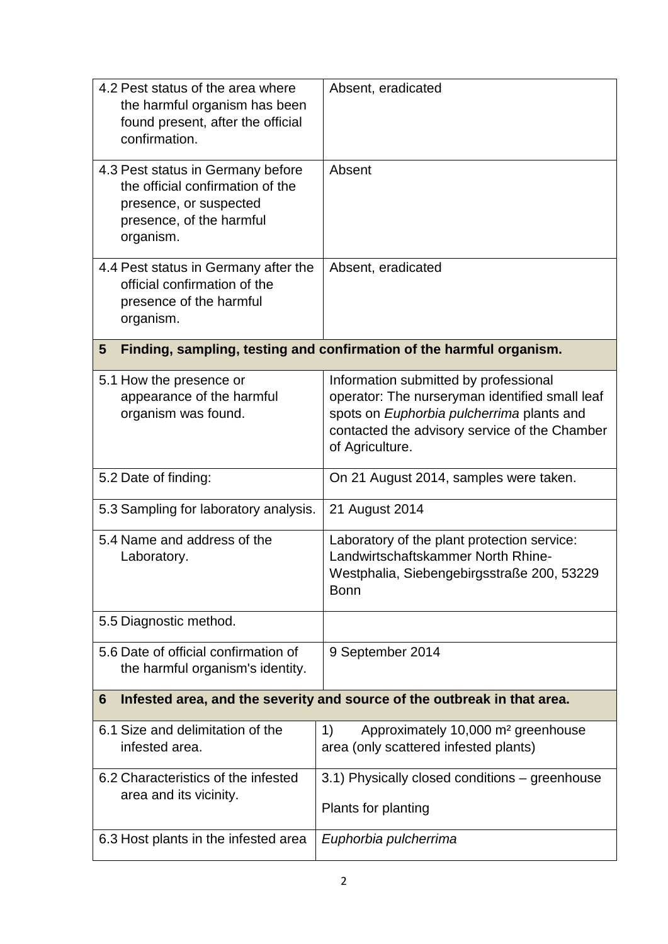| 4.2 Pest status of the area where<br>the harmful organism has been<br>found present, after the official<br>confirmation.                 | Absent, eradicated                                                                                                                                                                                       |
|------------------------------------------------------------------------------------------------------------------------------------------|----------------------------------------------------------------------------------------------------------------------------------------------------------------------------------------------------------|
| 4.3 Pest status in Germany before<br>the official confirmation of the<br>presence, or suspected<br>presence, of the harmful<br>organism. | Absent                                                                                                                                                                                                   |
| 4.4 Pest status in Germany after the<br>official confirmation of the<br>presence of the harmful<br>organism.                             | Absent, eradicated                                                                                                                                                                                       |
| 5                                                                                                                                        | Finding, sampling, testing and confirmation of the harmful organism.                                                                                                                                     |
| 5.1 How the presence or<br>appearance of the harmful<br>organism was found.                                                              | Information submitted by professional<br>operator: The nurseryman identified small leaf<br>spots on Euphorbia pulcherrima plants and<br>contacted the advisory service of the Chamber<br>of Agriculture. |
| 5.2 Date of finding:                                                                                                                     | On 21 August 2014, samples were taken.                                                                                                                                                                   |
| 5.3 Sampling for laboratory analysis.                                                                                                    | 21 August 2014                                                                                                                                                                                           |
| 5.4 Name and address of the<br>Laboratory.                                                                                               | Laboratory of the plant protection service:<br>Landwirtschaftskammer North Rhine-<br>Westphalia, Siebengebirgsstraße 200, 53229<br><b>Bonn</b>                                                           |
| 5.5 Diagnostic method.                                                                                                                   |                                                                                                                                                                                                          |
| 5.6 Date of official confirmation of<br>the harmful organism's identity.                                                                 | 9 September 2014                                                                                                                                                                                         |
| 6                                                                                                                                        | Infested area, and the severity and source of the outbreak in that area.                                                                                                                                 |
| 6.1 Size and delimitation of the<br>infested area.                                                                                       | Approximately 10,000 m <sup>2</sup> greenhouse<br>1)<br>area (only scattered infested plants)                                                                                                            |
| 6.2 Characteristics of the infested<br>area and its vicinity.                                                                            | 3.1) Physically closed conditions - greenhouse<br>Plants for planting                                                                                                                                    |
| 6.3 Host plants in the infested area                                                                                                     | Euphorbia pulcherrima                                                                                                                                                                                    |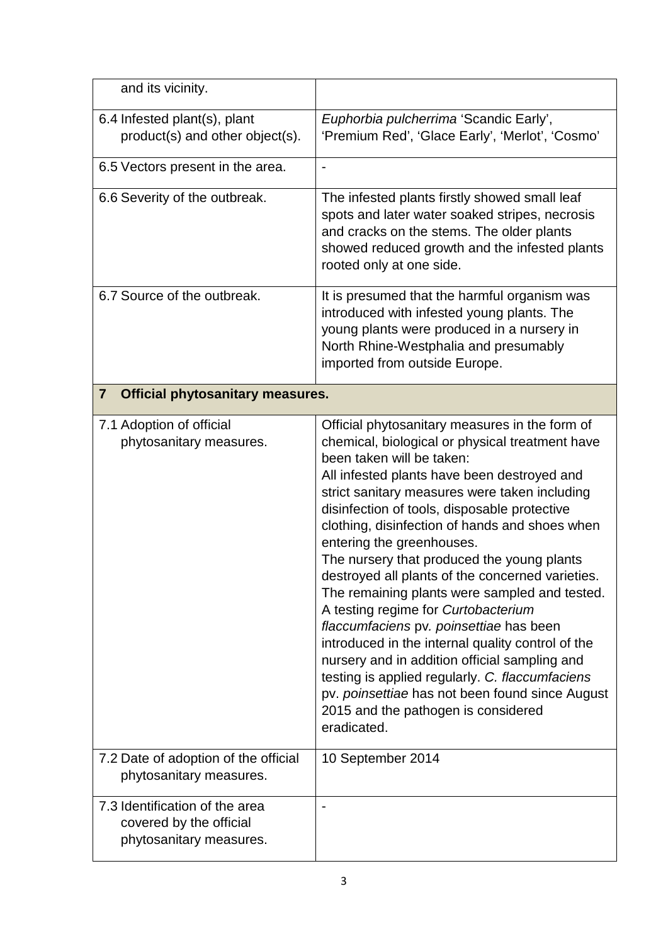| and its vicinity.                                                                    |                                                                                                                                                                                                                                                                                                                                                                                                                                                                                                                                                                                                                                                                                                                                                                                                                                                                      |
|--------------------------------------------------------------------------------------|----------------------------------------------------------------------------------------------------------------------------------------------------------------------------------------------------------------------------------------------------------------------------------------------------------------------------------------------------------------------------------------------------------------------------------------------------------------------------------------------------------------------------------------------------------------------------------------------------------------------------------------------------------------------------------------------------------------------------------------------------------------------------------------------------------------------------------------------------------------------|
| 6.4 Infested plant(s), plant<br>product(s) and other object(s).                      | Euphorbia pulcherrima 'Scandic Early',<br>'Premium Red', 'Glace Early', 'Merlot', 'Cosmo'                                                                                                                                                                                                                                                                                                                                                                                                                                                                                                                                                                                                                                                                                                                                                                            |
| 6.5 Vectors present in the area.                                                     |                                                                                                                                                                                                                                                                                                                                                                                                                                                                                                                                                                                                                                                                                                                                                                                                                                                                      |
| 6.6 Severity of the outbreak.                                                        | The infested plants firstly showed small leaf<br>spots and later water soaked stripes, necrosis<br>and cracks on the stems. The older plants<br>showed reduced growth and the infested plants<br>rooted only at one side.                                                                                                                                                                                                                                                                                                                                                                                                                                                                                                                                                                                                                                            |
| 6.7 Source of the outbreak.                                                          | It is presumed that the harmful organism was<br>introduced with infested young plants. The<br>young plants were produced in a nursery in<br>North Rhine-Westphalia and presumably<br>imported from outside Europe.                                                                                                                                                                                                                                                                                                                                                                                                                                                                                                                                                                                                                                                   |
| <b>Official phytosanitary measures.</b><br>$\mathbf{7}$                              |                                                                                                                                                                                                                                                                                                                                                                                                                                                                                                                                                                                                                                                                                                                                                                                                                                                                      |
| 7.1 Adoption of official<br>phytosanitary measures.                                  | Official phytosanitary measures in the form of<br>chemical, biological or physical treatment have<br>been taken will be taken:<br>All infested plants have been destroyed and<br>strict sanitary measures were taken including<br>disinfection of tools, disposable protective<br>clothing, disinfection of hands and shoes when<br>entering the greenhouses.<br>The nursery that produced the young plants<br>destroyed all plants of the concerned varieties.<br>The remaining plants were sampled and tested.<br>A testing regime for Curtobacterium<br>flaccumfaciens pv. poinsettiae has been<br>introduced in the internal quality control of the<br>nursery and in addition official sampling and<br>testing is applied regularly. C. flaccumfaciens<br>pv. poinsettiae has not been found since August<br>2015 and the pathogen is considered<br>eradicated. |
| 7.2 Date of adoption of the official<br>phytosanitary measures.                      | 10 September 2014                                                                                                                                                                                                                                                                                                                                                                                                                                                                                                                                                                                                                                                                                                                                                                                                                                                    |
| 7.3 Identification of the area<br>covered by the official<br>phytosanitary measures. |                                                                                                                                                                                                                                                                                                                                                                                                                                                                                                                                                                                                                                                                                                                                                                                                                                                                      |